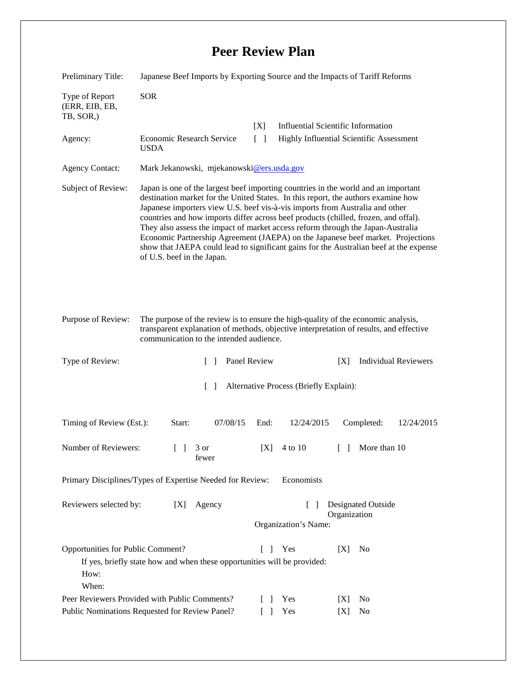## **Peer Review Plan**

| Preliminary Title:                                                                                                                                                 | Japanese Beef Imports by Exporting Source and the Impacts of Tariff Reforms                                                                                                                                                                                                                                                                                                                                                                                                                                                                                                                                                                  |              |                                           |        |              |                             |  |
|--------------------------------------------------------------------------------------------------------------------------------------------------------------------|----------------------------------------------------------------------------------------------------------------------------------------------------------------------------------------------------------------------------------------------------------------------------------------------------------------------------------------------------------------------------------------------------------------------------------------------------------------------------------------------------------------------------------------------------------------------------------------------------------------------------------------------|--------------|-------------------------------------------|--------|--------------|-----------------------------|--|
| Type of Report<br>(ERR, EIB, EB,<br>TB, SOR,)                                                                                                                      | <b>SOR</b>                                                                                                                                                                                                                                                                                                                                                                                                                                                                                                                                                                                                                                   |              |                                           |        |              |                             |  |
|                                                                                                                                                                    |                                                                                                                                                                                                                                                                                                                                                                                                                                                                                                                                                                                                                                              | [X]          | <b>Influential Scientific Information</b> |        |              |                             |  |
| Agency:                                                                                                                                                            | Economic Research Service<br><b>USDA</b>                                                                                                                                                                                                                                                                                                                                                                                                                                                                                                                                                                                                     | $\Box$       | Highly Influential Scientific Assessment  |        |              |                             |  |
| <b>Agency Contact:</b>                                                                                                                                             | Mark Jekanowski, mjekanowski@ers.usda.gov                                                                                                                                                                                                                                                                                                                                                                                                                                                                                                                                                                                                    |              |                                           |        |              |                             |  |
| Subject of Review:                                                                                                                                                 | Japan is one of the largest beef importing countries in the world and an important<br>destination market for the United States. In this report, the authors examine how<br>Japanese importers view U.S. beef vis-à-vis imports from Australia and other<br>countries and how imports differ across beef products (chilled, frozen, and offal).<br>They also assess the impact of market access reform through the Japan-Australia<br>Economic Partnership Agreement (JAEPA) on the Japanese beef market. Projections<br>show that JAEPA could lead to significant gains for the Australian beef at the expense<br>of U.S. beef in the Japan. |              |                                           |        |              |                             |  |
| Purpose of Review:                                                                                                                                                 | The purpose of the review is to ensure the high-quality of the economic analysis,<br>transparent explanation of methods, objective interpretation of results, and effective<br>communication to the intended audience.                                                                                                                                                                                                                                                                                                                                                                                                                       |              |                                           |        |              |                             |  |
| Type of Review:                                                                                                                                                    | $\mathbf{1}$                                                                                                                                                                                                                                                                                                                                                                                                                                                                                                                                                                                                                                 | Panel Review |                                           | [X]    |              | <b>Individual Reviewers</b> |  |
| $\Box$<br>Alternative Process (Briefly Explain):                                                                                                                   |                                                                                                                                                                                                                                                                                                                                                                                                                                                                                                                                                                                                                                              |              |                                           |        |              |                             |  |
| Timing of Review (Est.):                                                                                                                                           | 07/08/15<br>Start:                                                                                                                                                                                                                                                                                                                                                                                                                                                                                                                                                                                                                           | End:         | 12/24/2015                                |        | Completed:   | 12/24/2015                  |  |
| Number of Reviewers:                                                                                                                                               | $\Box$<br>3 or<br>fewer                                                                                                                                                                                                                                                                                                                                                                                                                                                                                                                                                                                                                      | [X]          | 4 to 10                                   | $\Box$ | More than 10 |                             |  |
| Primary Disciplines/Types of Expertise Needed for Review:<br>Economists                                                                                            |                                                                                                                                                                                                                                                                                                                                                                                                                                                                                                                                                                                                                                              |              |                                           |        |              |                             |  |
| <b>Designated Outside</b><br>Reviewers selected by:<br>Agency<br>[X]<br>$\Box$<br>Organization<br>Organization's Name:                                             |                                                                                                                                                                                                                                                                                                                                                                                                                                                                                                                                                                                                                                              |              |                                           |        |              |                             |  |
| Opportunities for Public Comment?<br>Yes<br>[X]<br>No<br>$\mathbf{I}$<br>If yes, briefly state how and when these opportunities will be provided:<br>How:<br>When: |                                                                                                                                                                                                                                                                                                                                                                                                                                                                                                                                                                                                                                              |              |                                           |        |              |                             |  |
| Peer Reviewers Provided with Public Comments?                                                                                                                      |                                                                                                                                                                                                                                                                                                                                                                                                                                                                                                                                                                                                                                              |              | Yes<br>$\Box$                             | [X]    | No           |                             |  |
| Public Nominations Requested for Review Panel?                                                                                                                     |                                                                                                                                                                                                                                                                                                                                                                                                                                                                                                                                                                                                                                              |              | Yes                                       | [X]    | No           |                             |  |